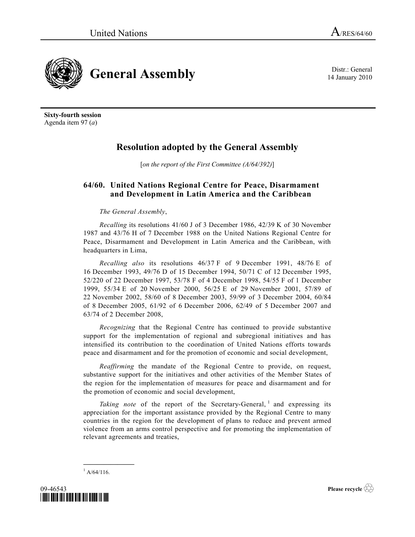14 January 2010



**Sixty-fourth session** Agenda item 97 (*a*)

## **Resolution adopted by the General Assembly**

[*on the report of the First Committee (A/64/392)*]

## **64/60. United Nations Regional Centre for Peace, Disarmament and Development in Latin America and the Caribbean**

*The General Assembly*,

*Recalling* its resolutions 41/60 J of 3 December 1986, 42/39 K of 30 November 1987 and 43/76 H of 7 December 1988 on the United Nations Regional Centre for Peace, Disarmament and Development in Latin America and the Caribbean, with headquarters in Lima,

*Recalling also* its resolutions 46/37 F of 9 December 1991, 48/76 E of 16 December 1993, 49/76 D of 15 December 1994, 50/71 C of 12 December 1995, 52/220 of 22 December 1997, 53/78 F of 4 December 1998, 54/55 F of 1 December 1999, 55/34 E of 20 November 2000, 56/25 E of 29 November 2001, 57/89 of 22 November 2002, 58/60 of 8 December 2003, 59/99 of 3 December 2004, 60/84 of 8 December 2005, 61/92 of 6 December 2006, 62/49 of 5 December 2007 and 63/74 of 2 December 2008,

*Recognizing* that the Regional Centre has continued to provide substantive support for the implementation of regional and subregional initiatives and has intensified its contribution to the coordination of United Nations efforts towards peace and disarmament and for the promotion of economic and social development,

*Reaffirming* the mandate of the Regional Centre to provide, on request, substantive support for the initiatives and other activities of the Member States of the region for the implementation of measures for peace and disarmament and for the promotion of economic and social development,

Taking note of the report of the Secretary-General, <sup>1</sup> and expressing its appreciation for the important assistance provided by the Regional Centre to many countries in the region for the development of plans to reduce and prevent armed violence from an arms control perspective and for promoting the implementation of relevant agreements and treaties,

 $^{1}$  A/64/116.

**\_\_\_\_\_\_\_\_\_\_\_\_\_\_\_**



**Please recycle**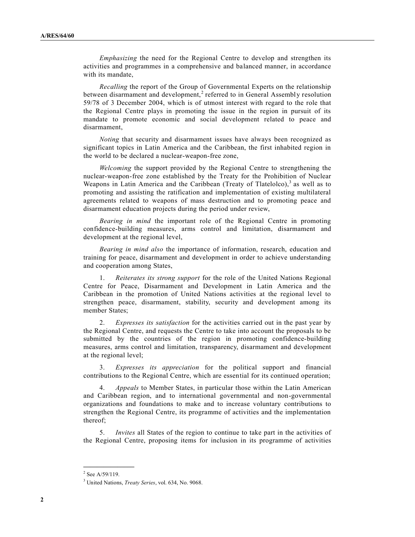*Emphasizing* the need for the Regional Centre to develop and strengthen its activities and programmes in a comprehensive and balanced manner, in accordance with its mandate,

*Recalling* the report of the Group of Governmental Experts on the relationship between disarmament and development,<sup>2</sup> referred to in General Assembly resolution 59/78 of 3 December 2004, which is of utmost interest with regard to the role that the Regional Centre plays in promoting the issue in the region in pursuit of its mandate to promote economic and social development related to peace and disarmament,

*Noting* that security and disarmament issues have always been recognized as significant topics in Latin America and the Caribbean, the first inhabited region in the world to be declared a nuclear-weapon-free zone,

*Welcoming* the support provided by the Regional Centre to strengthening the nuclear-weapon-free zone established by the Treaty for the Prohibition of Nuclear Weapons in Latin America and the Caribbean (Treaty of Tlatelolco), $3$  as well as to promoting and assisting the ratification and implementation of existing multilateral agreements related to weapons of mass destruction and to promoting peace and disarmament education projects during the period under review,

*Bearing in mind* the important role of the Regional Centre in promoting confidence-building measures, arms control and limitation, disarmament and development at the regional level,

*Bearing in mind also* the importance of information, research, education and training for peace, disarmament and development in order to achieve understanding and cooperation among States,

1. *Reiterates its strong support* for the role of the United Nations Regional Centre for Peace, Disarmament and Development in Latin America and the Caribbean in the promotion of United Nations activities at the regional level to strengthen peace, disarmament, stability, security and development among its member States;

2. *Expresses its satisfaction* for the activities carried out in the past year by the Regional Centre, and requests the Centre to take into account the proposals to be submitted by the countries of the region in promoting confidence-building measures, arms control and limitation, transparency, disarmament and development at the regional level;

3. *Expresses its appreciation* for the political support and financial contributions to the Regional Centre, which are essential for its continued operation;

4. *Appeals* to Member States, in particular those within the Latin American and Caribbean region, and to international governmental and non-governmental organizations and foundations to make and to increase voluntary contributions to strengthen the Regional Centre, its programme of activities and the implementation thereof;

5. *Invites* all States of the region to continue to take part in the activities of the Regional Centre, proposing items for inclusion in its programme of activities

**\_\_\_\_\_\_\_\_\_\_\_\_\_\_\_**

 $2$  See A/59/119.

<sup>3</sup> United Nations, *Treaty Series*, vol. 634, No. 9068.